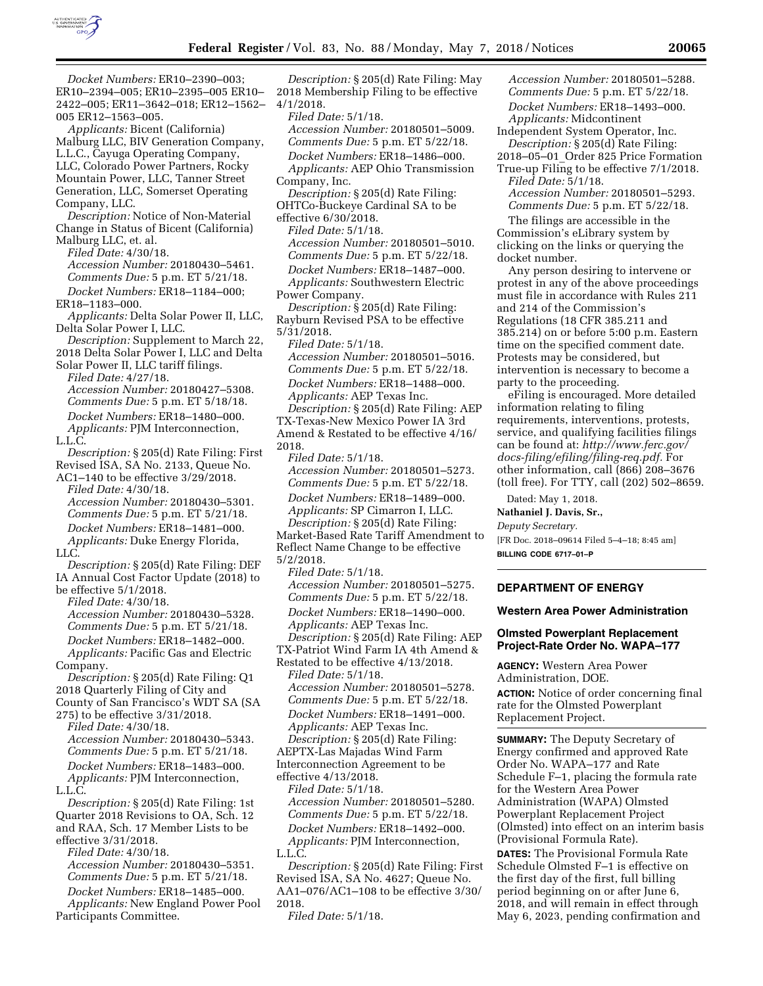

*Docket Numbers:* ER10–2390–003; ER10–2394–005; ER10–2395–005 ER10– 2422–005; ER11–3642–018; ER12–1562– 005 ER12–1563–005.

*Applicants:* Bicent (California) Malburg LLC, BIV Generation Company, L.L.C., Cayuga Operating Company, LLC, Colorado Power Partners, Rocky Mountain Power, LLC, Tanner Street Generation, LLC, Somerset Operating Company, LLC.

*Description:* Notice of Non-Material Change in Status of Bicent (California) Malburg LLC, et. al.

*Filed Date:* 4/30/18. *Accession Number:* 20180430–5461. *Comments Due:* 5 p.m. ET 5/21/18. *Docket Numbers:* ER18–1184–000; ER18–1183–000.

*Applicants:* Delta Solar Power II, LLC, Delta Solar Power I, LLC.

*Description:* Supplement to March 22, 2018 Delta Solar Power I, LLC and Delta

Solar Power II, LLC tariff filings. *Filed Date:* 4/27/18. *Accession Number:* 20180427–5308.

*Comments Due:* 5 p.m. ET 5/18/18. *Docket Numbers:* ER18–1480–000. *Applicants:* PJM Interconnection, L.L.C.

*Description:* § 205(d) Rate Filing: First Revised ISA, SA No. 2133, Queue No.

AC1–140 to be effective 3/29/2018. *Filed Date:* 4/30/18. *Accession Number:* 20180430–5301. *Comments Due:* 5 p.m. ET 5/21/18. *Docket Numbers:* ER18–1481–000. *Applicants:* Duke Energy Florida,

LLC.

*Description:* § 205(d) Rate Filing: DEF IA Annual Cost Factor Update (2018) to

be effective 5/1/2018. *Filed Date:* 4/30/18.

*Accession Number:* 20180430–5328. *Comments Due:* 5 p.m. ET 5/21/18. *Docket Numbers:* ER18–1482–000. *Applicants:* Pacific Gas and Electric Company.

*Description:* § 205(d) Rate Filing: Q1 2018 Quarterly Filing of City and County of San Francisco's WDT SA (SA

275) to be effective 3/31/2018. *Filed Date:* 4/30/18. *Accession Number:* 20180430–5343. *Comments Due:* 5 p.m. ET 5/21/18. *Docket Numbers:* ER18–1483–000. *Applicants:* PJM Interconnection, L.L.C.

*Description:* § 205(d) Rate Filing: 1st Quarter 2018 Revisions to OA, Sch. 12 and RAA, Sch. 17 Member Lists to be effective 3/31/2018.

*Filed Date:* 4/30/18. *Accession Number:* 20180430–5351. *Comments Due:* 5 p.m. ET 5/21/18. *Docket Numbers:* ER18–1485–000.

*Applicants:* New England Power Pool Participants Committee.

*Description:* § 205(d) Rate Filing: May 2018 Membership Filing to be effective 4/1/2018.

*Filed Date:* 5/1/18. *Accession Number:* 20180501–5009. *Comments Due:* 5 p.m. ET 5/22/18. *Docket Numbers:* ER18–1486–000.

*Applicants:* AEP Ohio Transmission Company, Inc.

*Description:* § 205(d) Rate Filing: OHTCo-Buckeye Cardinal SA to be effective 6/30/2018.

*Filed Date:* 5/1/18. *Accession Number:* 20180501–5010. *Comments Due:* 5 p.m. ET 5/22/18. *Docket Numbers:* ER18–1487–000. *Applicants:* Southwestern Electric Power Company.

*Description:* § 205(d) Rate Filing: Rayburn Revised PSA to be effective 5/31/2018.

*Filed Date:* 5/1/18.

*Accession Number:* 20180501–5016. *Comments Due:* 5 p.m. ET 5/22/18.

*Docket Numbers:* ER18–1488–000. *Applicants:* AEP Texas Inc.

*Description:* § 205(d) Rate Filing: AEP TX-Texas-New Mexico Power IA 3rd Amend & Restated to be effective 4/16/ 2018.

*Filed Date:* 5/1/18.

*Accession Number:* 20180501–5273. *Comments Due:* 5 p.m. ET 5/22/18. *Docket Numbers:* ER18–1489–000. *Applicants:* SP Cimarron I, LLC.

*Description:* § 205(d) Rate Filing: Market-Based Rate Tariff Amendment to Reflect Name Change to be effective 5/2/2018.

*Filed Date:* 5/1/18. *Accession Number:* 20180501–5275. *Comments Due:* 5 p.m. ET 5/22/18. *Docket Numbers:* ER18–1490–000.

*Applicants:* AEP Texas Inc. *Description:* § 205(d) Rate Filing: AEP TX-Patriot Wind Farm IA 4th Amend &

Restated to be effective 4/13/2018. *Filed Date:* 5/1/18.

*Accession Number:* 20180501–5278. *Comments Due:* 5 p.m. ET 5/22/18. *Docket Numbers:* ER18–1491–000.

*Applicants:* AEP Texas Inc. *Description:* § 205(d) Rate Filing:

AEPTX-Las Majadas Wind Farm Interconnection Agreement to be effective 4/13/2018.

*Filed Date:* 5/1/18.

*Accession Number:* 20180501–5280. *Comments Due:* 5 p.m. ET 5/22/18. *Docket Numbers:* ER18–1492–000. *Applicants:* PJM Interconnection, L.L.C.

*Description:* § 205(d) Rate Filing: First Revised ISA, SA No. 4627; Queue No. AA1–076/AC1–108 to be effective 3/30/ 2018.

*Filed Date:* 5/1/18.

*Accession Number:* 20180501–5288. *Comments Due:* 5 p.m. ET 5/22/18. *Docket Numbers:* ER18–1493–000. *Applicants:* Midcontinent

Independent System Operator, Inc. *Description:* § 205(d) Rate Filing: 2018–05–01\_Order 825 Price Formation

True-up Filing to be effective 7/1/2018. *Filed Date:* 5/1/18.

*Accession Number:* 20180501–5293. *Comments Due:* 5 p.m. ET 5/22/18.

The filings are accessible in the Commission's eLibrary system by clicking on the links or querying the docket number.

Any person desiring to intervene or protest in any of the above proceedings must file in accordance with Rules 211 and 214 of the Commission's Regulations (18 CFR 385.211 and 385.214) on or before 5:00 p.m. Eastern time on the specified comment date. Protests may be considered, but intervention is necessary to become a party to the proceeding.

eFiling is encouraged. More detailed information relating to filing requirements, interventions, protests, service, and qualifying facilities filings can be found at: *[http://www.ferc.gov/](http://www.ferc.gov/docs-filing/efiling/filing-req.pdf)  [docs-filing/efiling/filing-req.pdf.](http://www.ferc.gov/docs-filing/efiling/filing-req.pdf)* For other information, call (866) 208–3676 (toll free). For TTY, call (202) 502–8659.

Dated: May 1, 2018.

**Nathaniel J. Davis, Sr.,** 

*Deputy Secretary.* 

[FR Doc. 2018–09614 Filed 5–4–18; 8:45 am] **BILLING CODE 6717–01–P** 

# **DEPARTMENT OF ENERGY**

**Western Area Power Administration** 

# **Olmsted Powerplant Replacement Project-Rate Order No. WAPA–177**

**AGENCY:** Western Area Power Administration, DOE.

**ACTION:** Notice of order concerning final rate for the Olmsted Powerplant Replacement Project.

**SUMMARY:** The Deputy Secretary of Energy confirmed and approved Rate Order No. WAPA–177 and Rate Schedule F–1, placing the formula rate for the Western Area Power Administration (WAPA) Olmsted Powerplant Replacement Project (Olmsted) into effect on an interim basis (Provisional Formula Rate).

**DATES:** The Provisional Formula Rate Schedule Olmsted F–1 is effective on the first day of the first, full billing period beginning on or after June 6, 2018, and will remain in effect through May 6, 2023, pending confirmation and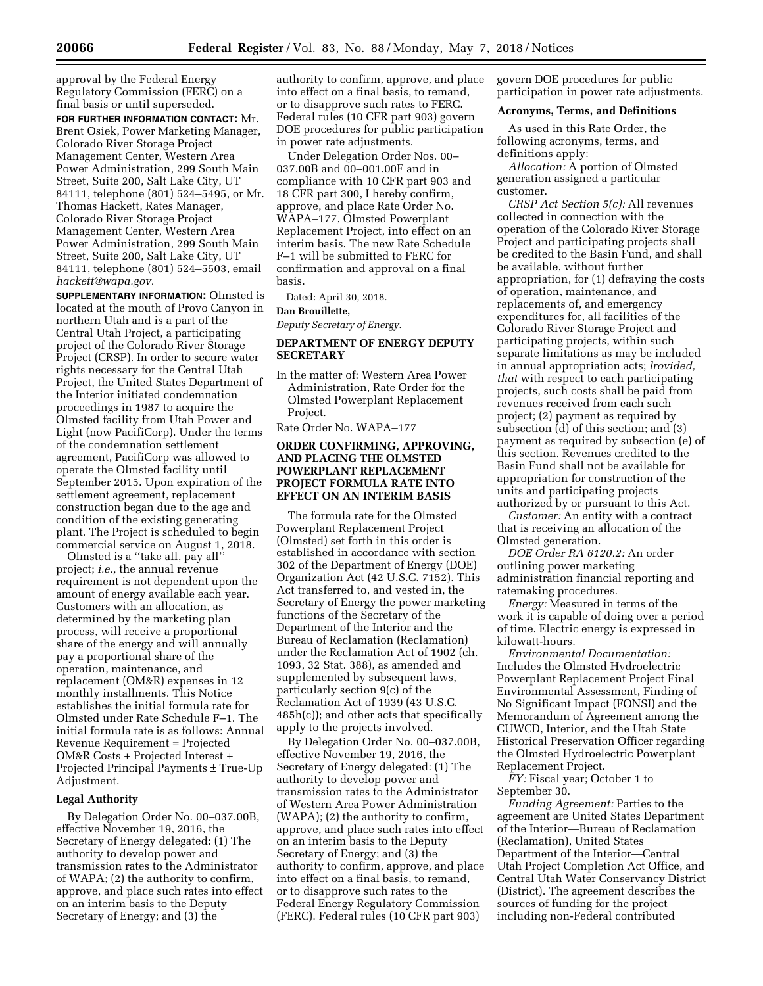approval by the Federal Energy Regulatory Commission (FERC) on a final basis or until superseded.

**FOR FURTHER INFORMATION CONTACT:** Mr. Brent Osiek, Power Marketing Manager, Colorado River Storage Project Management Center, Western Area Power Administration, 299 South Main Street, Suite 200, Salt Lake City, UT 84111, telephone (801) 524–5495, or Mr. Thomas Hackett, Rates Manager, Colorado River Storage Project Management Center, Western Area Power Administration, 299 South Main Street, Suite 200, Salt Lake City, UT 84111, telephone (801) 524–5503, email *[hackett@wapa.gov.](mailto:hackett@wapa.gov)* 

**SUPPLEMENTARY INFORMATION:** Olmsted is located at the mouth of Provo Canyon in northern Utah and is a part of the Central Utah Project, a participating project of the Colorado River Storage Project (CRSP). In order to secure water rights necessary for the Central Utah Project, the United States Department of the Interior initiated condemnation proceedings in 1987 to acquire the Olmsted facility from Utah Power and Light (now PacifiCorp). Under the terms of the condemnation settlement agreement, PacifiCorp was allowed to operate the Olmsted facility until September 2015. Upon expiration of the settlement agreement, replacement construction began due to the age and condition of the existing generating plant. The Project is scheduled to begin commercial service on August 1, 2018.

Olmsted is a ''take all, pay all'' project; *i.e.,* the annual revenue requirement is not dependent upon the amount of energy available each year. Customers with an allocation, as determined by the marketing plan process, will receive a proportional share of the energy and will annually pay a proportional share of the operation, maintenance, and replacement (OM&R) expenses in 12 monthly installments. This Notice establishes the initial formula rate for Olmsted under Rate Schedule F–1. The initial formula rate is as follows: Annual Revenue Requirement = Projected OM&R Costs + Projected Interest + Projected Principal Payments ± True-Up Adjustment.

## **Legal Authority**

By Delegation Order No. 00–037.00B, effective November 19, 2016, the Secretary of Energy delegated: (1) The authority to develop power and transmission rates to the Administrator of WAPA; (2) the authority to confirm, approve, and place such rates into effect on an interim basis to the Deputy Secretary of Energy; and (3) the

authority to confirm, approve, and place into effect on a final basis, to remand, or to disapprove such rates to FERC. Federal rules (10 CFR part 903) govern DOE procedures for public participation in power rate adjustments.

Under Delegation Order Nos. 00– 037.00B and 00–001.00F and in compliance with 10 CFR part 903 and 18 CFR part 300, I hereby confirm, approve, and place Rate Order No. WAPA–177, Olmsted Powerplant Replacement Project, into effect on an interim basis. The new Rate Schedule F–1 will be submitted to FERC for confirmation and approval on a final basis.

Dated: April 30, 2018.

#### **Dan Brouillette,**

*Deputy Secretary of Energy.* 

# **DEPARTMENT OF ENERGY DEPUTY SECRETARY**

In the matter of: Western Area Power Administration, Rate Order for the Olmsted Powerplant Replacement Project.

Rate Order No. WAPA–177

# **ORDER CONFIRMING, APPROVING, AND PLACING THE OLMSTED POWERPLANT REPLACEMENT PROJECT FORMULA RATE INTO EFFECT ON AN INTERIM BASIS**

The formula rate for the Olmsted Powerplant Replacement Project (Olmsted) set forth in this order is established in accordance with section 302 of the Department of Energy (DOE) Organization Act (42 U.S.C. 7152). This Act transferred to, and vested in, the Secretary of Energy the power marketing functions of the Secretary of the Department of the Interior and the Bureau of Reclamation (Reclamation) under the Reclamation Act of 1902 (ch. 1093, 32 Stat. 388), as amended and supplemented by subsequent laws, particularly section 9(c) of the Reclamation Act of 1939 (43 U.S.C. 485h(c)); and other acts that specifically apply to the projects involved.

By Delegation Order No. 00–037.00B, effective November 19, 2016, the Secretary of Energy delegated: (1) The authority to develop power and transmission rates to the Administrator of Western Area Power Administration (WAPA); (2) the authority to confirm, approve, and place such rates into effect on an interim basis to the Deputy Secretary of Energy; and (3) the authority to confirm, approve, and place into effect on a final basis, to remand, or to disapprove such rates to the Federal Energy Regulatory Commission (FERC). Federal rules (10 CFR part 903)

govern DOE procedures for public participation in power rate adjustments.

## **Acronyms, Terms, and Definitions**

As used in this Rate Order, the following acronyms, terms, and definitions apply:

*Allocation:* A portion of Olmsted generation assigned a particular customer.

*CRSP Act Section 5(c):* All revenues collected in connection with the operation of the Colorado River Storage Project and participating projects shall be credited to the Basin Fund, and shall be available, without further appropriation, for (1) defraying the costs of operation, maintenance, and replacements of, and emergency expenditures for, all facilities of the Colorado River Storage Project and participating projects, within such separate limitations as may be included in annual appropriation acts; *lrovided, that* with respect to each participating projects, such costs shall be paid from revenues received from each such project; (2) payment as required by subsection (d) of this section; and (3) payment as required by subsection (e) of this section. Revenues credited to the Basin Fund shall not be available for appropriation for construction of the units and participating projects authorized by or pursuant to this Act.

*Customer:* An entity with a contract that is receiving an allocation of the Olmsted generation.

*DOE Order RA 6120.2:* An order outlining power marketing administration financial reporting and ratemaking procedures.

*Energy:* Measured in terms of the work it is capable of doing over a period of time. Electric energy is expressed in kilowatt-hours.

*Environmental Documentation:*  Includes the Olmsted Hydroelectric Powerplant Replacement Project Final Environmental Assessment, Finding of No Significant Impact (FONSI) and the Memorandum of Agreement among the CUWCD, Interior, and the Utah State Historical Preservation Officer regarding the Olmsted Hydroelectric Powerplant Replacement Project.

*FY:* Fiscal year; October 1 to September 30.

*Funding Agreement:* Parties to the agreement are United States Department of the Interior—Bureau of Reclamation (Reclamation), United States Department of the Interior—Central Utah Project Completion Act Office, and Central Utah Water Conservancy District (District). The agreement describes the sources of funding for the project including non-Federal contributed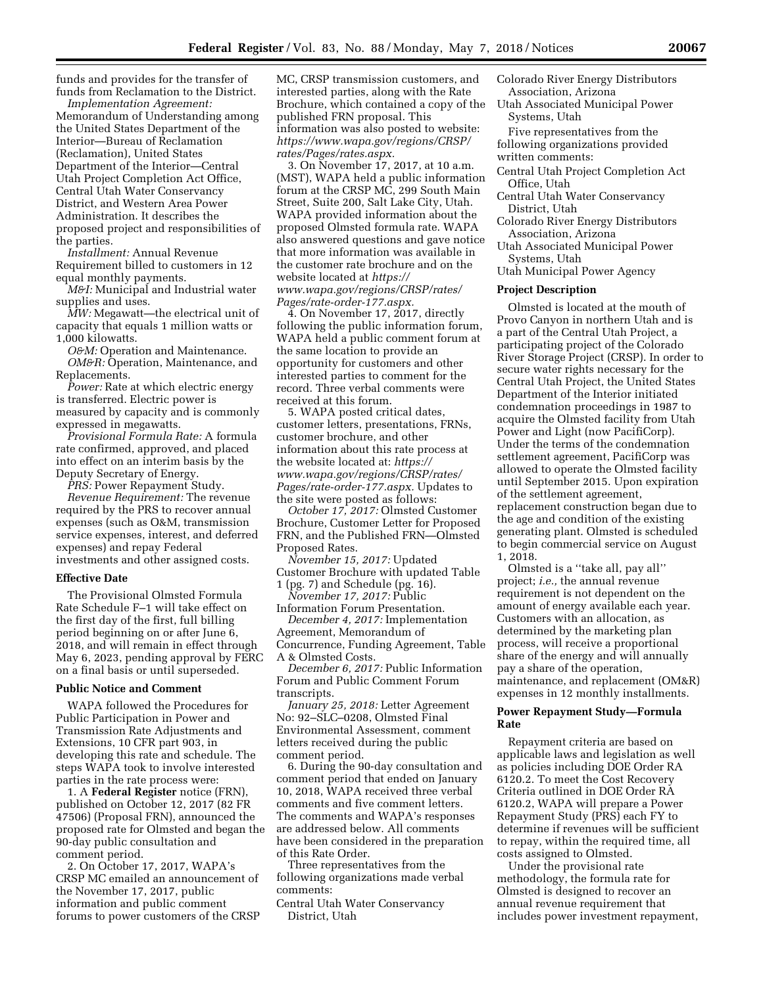funds and provides for the transfer of funds from Reclamation to the District.

*Implementation Agreement:*  Memorandum of Understanding among the United States Department of the Interior—Bureau of Reclamation (Reclamation), United States Department of the Interior—Central Utah Project Completion Act Office, Central Utah Water Conservancy District, and Western Area Power Administration. It describes the proposed project and responsibilities of the parties.

*Installment:* Annual Revenue Requirement billed to customers in 12 equal monthly payments.

*M&I:* Municipal and Industrial water supplies and uses.

*MW:* Megawatt—the electrical unit of capacity that equals 1 million watts or 1,000 kilowatts.

*O&M:* Operation and Maintenance. *OM&R:* Operation, Maintenance, and Replacements.

*Power:* Rate at which electric energy is transferred. Electric power is measured by capacity and is commonly expressed in megawatts.

*Provisional Formula Rate:* A formula rate confirmed, approved, and placed into effect on an interim basis by the Deputy Secretary of Energy.

*PRS:* Power Repayment Study.

*Revenue Requirement:* The revenue required by the PRS to recover annual expenses (such as O&M, transmission service expenses, interest, and deferred expenses) and repay Federal investments and other assigned costs.

#### **Effective Date**

The Provisional Olmsted Formula Rate Schedule F–1 will take effect on the first day of the first, full billing period beginning on or after June 6, 2018, and will remain in effect through May 6, 2023, pending approval by FERC on a final basis or until superseded.

#### **Public Notice and Comment**

WAPA followed the Procedures for Public Participation in Power and Transmission Rate Adjustments and Extensions, 10 CFR part 903, in developing this rate and schedule. The steps WAPA took to involve interested parties in the rate process were:

1. A **Federal Register** notice (FRN), published on October 12, 2017 (82 FR 47506) (Proposal FRN), announced the proposed rate for Olmsted and began the 90-day public consultation and comment period.

2. On October 17, 2017, WAPA's CRSP MC emailed an announcement of the November 17, 2017, public information and public comment forums to power customers of the CRSP MC, CRSP transmission customers, and interested parties, along with the Rate Brochure, which contained a copy of the published FRN proposal. This information was also posted to website: *[https://www.wapa.gov/regions/CRSP/](https://www.wapa.gov/regions/CRSP/rates/Pages/rates.aspx)  [rates/Pages/rates.aspx.](https://www.wapa.gov/regions/CRSP/rates/Pages/rates.aspx)* 

3. On November 17, 2017, at 10 a.m. (MST), WAPA held a public information forum at the CRSP MC, 299 South Main Street, Suite 200, Salt Lake City, Utah. WAPA provided information about the proposed Olmsted formula rate. WAPA also answered questions and gave notice that more information was available in the customer rate brochure and on the website located at *[https://](https://www.wapa.gov/regions/CRSP/rates/Pages/rate-order-177.aspx) [www.wapa.gov/regions/CRSP/rates/](https://www.wapa.gov/regions/CRSP/rates/Pages/rate-order-177.aspx)  [Pages/rate-order-177.aspx.](https://www.wapa.gov/regions/CRSP/rates/Pages/rate-order-177.aspx)* 

4. On November 17, 2017, directly following the public information forum, WAPA held a public comment forum at the same location to provide an opportunity for customers and other interested parties to comment for the record. Three verbal comments were received at this forum.

5. WAPA posted critical dates, customer letters, presentations, FRNs, customer brochure, and other information about this rate process at the website located at: *[https://](https://www.wapa.gov/regions/CRSP/rates/Pages/rate-order-177.aspx) [www.wapa.gov/regions/CRSP/rates/](https://www.wapa.gov/regions/CRSP/rates/Pages/rate-order-177.aspx)  [Pages/rate-order-177.aspx.](https://www.wapa.gov/regions/CRSP/rates/Pages/rate-order-177.aspx)* Updates to the site were posted as follows:

*October 17, 2017:* Olmsted Customer Brochure, Customer Letter for Proposed FRN, and the Published FRN—Olmsted Proposed Rates.

*November 15, 2017:* Updated Customer Brochure with updated Table

1 (pg. 7) and Schedule (pg. 16). *November 17, 2017:* Public

Information Forum Presentation. *December 4, 2017:* Implementation

Agreement, Memorandum of

Concurrence, Funding Agreement, Table A & Olmsted Costs.

*December 6, 2017:* Public Information Forum and Public Comment Forum transcripts.

*January 25, 2018:* Letter Agreement No: 92–SLC–0208, Olmsted Final Environmental Assessment, comment letters received during the public comment period.

6. During the 90-day consultation and comment period that ended on January 10, 2018, WAPA received three verbal comments and five comment letters. The comments and WAPA's responses are addressed below. All comments have been considered in the preparation of this Rate Order.

Three representatives from the following organizations made verbal comments:

Central Utah Water Conservancy District, Utah

- Colorado River Energy Distributors Association, Arizona
- Utah Associated Municipal Power Systems, Utah
- Five representatives from the following organizations provided written comments:
- Central Utah Project Completion Act Office, Utah
- Central Utah Water Conservancy District, Utah
- Colorado River Energy Distributors Association, Arizona
- Utah Associated Municipal Power Systems, Utah
- Utah Municipal Power Agency

#### **Project Description**

Olmsted is located at the mouth of Provo Canyon in northern Utah and is a part of the Central Utah Project, a participating project of the Colorado River Storage Project (CRSP). In order to secure water rights necessary for the Central Utah Project, the United States Department of the Interior initiated condemnation proceedings in 1987 to acquire the Olmsted facility from Utah Power and Light (now PacifiCorp). Under the terms of the condemnation settlement agreement, PacifiCorp was allowed to operate the Olmsted facility until September 2015. Upon expiration of the settlement agreement, replacement construction began due to the age and condition of the existing generating plant. Olmsted is scheduled to begin commercial service on August 1, 2018.

Olmsted is a ''take all, pay all'' project; *i.e.,* the annual revenue requirement is not dependent on the amount of energy available each year. Customers with an allocation, as determined by the marketing plan process, will receive a proportional share of the energy and will annually pay a share of the operation, maintenance, and replacement (OM&R) expenses in 12 monthly installments.

# **Power Repayment Study—Formula Rate**

Repayment criteria are based on applicable laws and legislation as well as policies including DOE Order RA 6120.2. To meet the Cost Recovery Criteria outlined in DOE Order RA 6120.2, WAPA will prepare a Power Repayment Study (PRS) each FY to determine if revenues will be sufficient to repay, within the required time, all costs assigned to Olmsted.

Under the provisional rate methodology, the formula rate for Olmsted is designed to recover an annual revenue requirement that includes power investment repayment,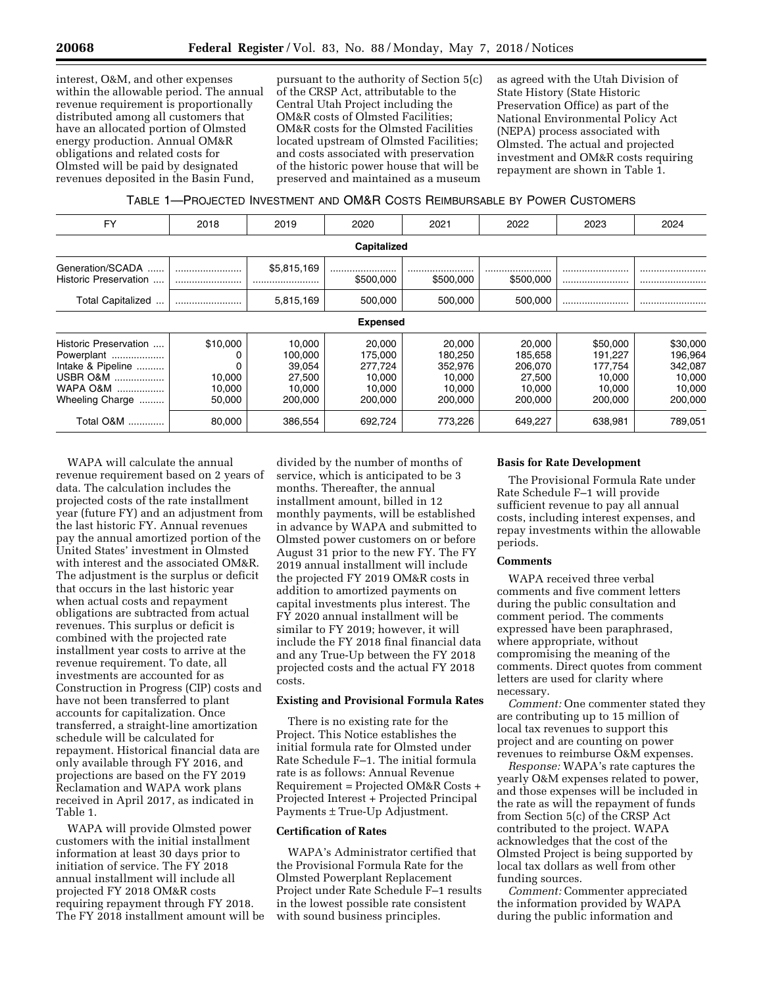interest, O&M, and other expenses within the allowable period. The annual revenue requirement is proportionally distributed among all customers that have an allocated portion of Olmsted energy production. Annual OM&R obligations and related costs for Olmsted will be paid by designated revenues deposited in the Basin Fund,

pursuant to the authority of Section 5(c) of the CRSP Act, attributable to the Central Utah Project including the OM&R costs of Olmsted Facilities; OM&R costs for the Olmsted Facilities located upstream of Olmsted Facilities; and costs associated with preservation of the historic power house that will be preserved and maintained as a museum

as agreed with the Utah Division of State History (State Historic Preservation Office) as part of the National Environmental Policy Act (NEPA) process associated with Olmsted. The actual and projected investment and OM&R costs requiring repayment are shown in Table 1.

TABLE 1—PROJECTED INVESTMENT AND OM&R COSTS REIMBURSABLE BY POWER CUSTOMERS

| <b>FY</b>                                                                                           | 2018                                   | 2019                                                       | 2020                                                        | 2021                                                        | 2022                                                        | 2023                                                          | 2024                                                          |
|-----------------------------------------------------------------------------------------------------|----------------------------------------|------------------------------------------------------------|-------------------------------------------------------------|-------------------------------------------------------------|-------------------------------------------------------------|---------------------------------------------------------------|---------------------------------------------------------------|
| Capitalized                                                                                         |                                        |                                                            |                                                             |                                                             |                                                             |                                                               |                                                               |
| Generation/SCADA<br>Historic Preservation                                                           |                                        | \$5,815,169                                                | \$500,000                                                   | <br>\$500,000                                               | \$500,000                                                   |                                                               | <br>                                                          |
| Total Capitalized                                                                                   |                                        | 5,815,169                                                  | 500,000                                                     | 500,000                                                     | 500,000                                                     |                                                               |                                                               |
| <b>Expensed</b>                                                                                     |                                        |                                                            |                                                             |                                                             |                                                             |                                                               |                                                               |
| Historic Preservation<br>Powerplant<br>Intake & Pipeline<br>USBR O&M<br>WAPA O&M<br>Wheeling Charge | \$10,000<br>10.000<br>10.000<br>50,000 | 10.000<br>100,000<br>39.054<br>27,500<br>10.000<br>200,000 | 20,000<br>175.000<br>277.724<br>10.000<br>10.000<br>200,000 | 20,000<br>180.250<br>352.976<br>10.000<br>10.000<br>200.000 | 20,000<br>185,658<br>206.070<br>27.500<br>10.000<br>200,000 | \$50,000<br>191.227<br>177.754<br>10.000<br>10.000<br>200,000 | \$30,000<br>196,964<br>342,087<br>10.000<br>10.000<br>200,000 |
| Total O&M<br>.                                                                                      | 80.000                                 | 386,554                                                    | 692.724                                                     | 773,226                                                     | 649,227                                                     | 638,981                                                       | 789,051                                                       |

WAPA will calculate the annual revenue requirement based on 2 years of data. The calculation includes the projected costs of the rate installment year (future FY) and an adjustment from the last historic FY. Annual revenues pay the annual amortized portion of the United States' investment in Olmsted with interest and the associated OM&R. The adjustment is the surplus or deficit that occurs in the last historic year when actual costs and repayment obligations are subtracted from actual revenues. This surplus or deficit is combined with the projected rate installment year costs to arrive at the revenue requirement. To date, all investments are accounted for as Construction in Progress (CIP) costs and have not been transferred to plant accounts for capitalization. Once transferred, a straight-line amortization schedule will be calculated for repayment. Historical financial data are only available through FY 2016, and projections are based on the FY 2019 Reclamation and WAPA work plans received in April 2017, as indicated in Table 1.

WAPA will provide Olmsted power customers with the initial installment information at least 30 days prior to initiation of service. The FY 2018 annual installment will include all projected FY 2018 OM&R costs requiring repayment through FY 2018. The FY 2018 installment amount will be

divided by the number of months of service, which is anticipated to be 3 months. Thereafter, the annual installment amount, billed in 12 monthly payments, will be established in advance by WAPA and submitted to Olmsted power customers on or before August 31 prior to the new FY. The FY 2019 annual installment will include the projected FY 2019 OM&R costs in addition to amortized payments on capital investments plus interest. The FY 2020 annual installment will be similar to FY 2019; however, it will include the FY 2018 final financial data and any True-Up between the FY 2018 projected costs and the actual FY 2018 costs.

## **Existing and Provisional Formula Rates**

There is no existing rate for the Project. This Notice establishes the initial formula rate for Olmsted under Rate Schedule F–1. The initial formula rate is as follows: Annual Revenue Requirement = Projected OM&R Costs + Projected Interest + Projected Principal Payments ± True-Up Adjustment.

### **Certification of Rates**

WAPA's Administrator certified that the Provisional Formula Rate for the Olmsted Powerplant Replacement Project under Rate Schedule F–1 results in the lowest possible rate consistent with sound business principles.

#### **Basis for Rate Development**

The Provisional Formula Rate under Rate Schedule F–1 will provide sufficient revenue to pay all annual costs, including interest expenses, and repay investments within the allowable periods.

## **Comments**

WAPA received three verbal comments and five comment letters during the public consultation and comment period. The comments expressed have been paraphrased, where appropriate, without compromising the meaning of the comments. Direct quotes from comment letters are used for clarity where necessary.

*Comment:* One commenter stated they are contributing up to 15 million of local tax revenues to support this project and are counting on power revenues to reimburse O&M expenses.

*Response:* WAPA's rate captures the yearly O&M expenses related to power, and those expenses will be included in the rate as will the repayment of funds from Section 5(c) of the CRSP Act contributed to the project. WAPA acknowledges that the cost of the Olmsted Project is being supported by local tax dollars as well from other funding sources.

*Comment:* Commenter appreciated the information provided by WAPA during the public information and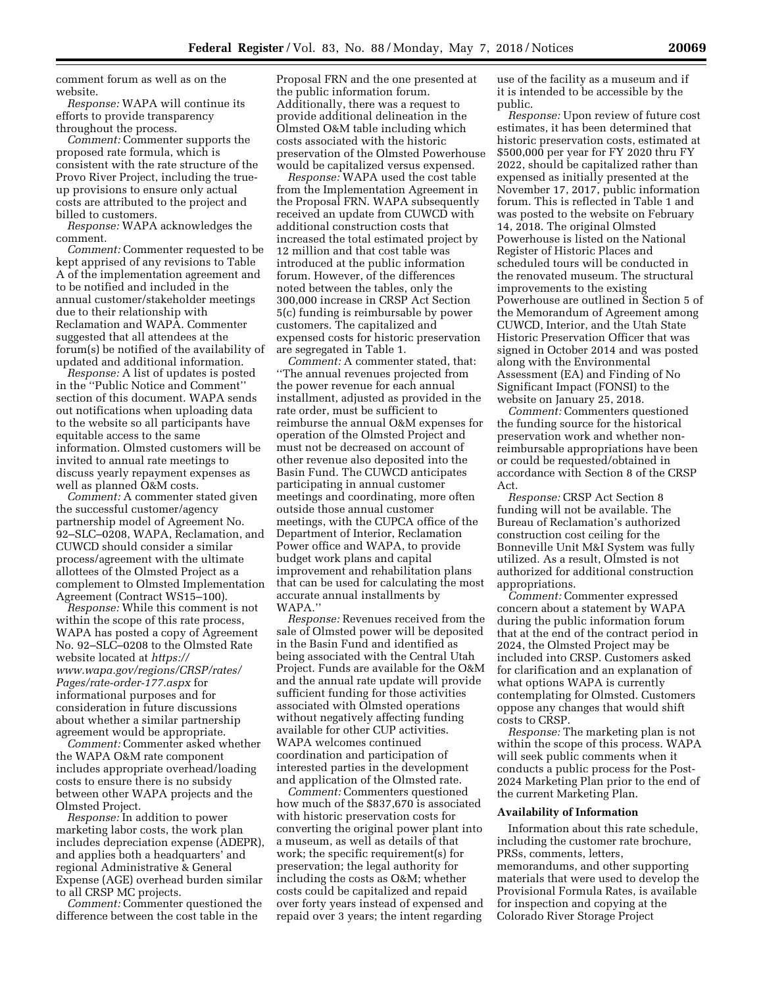comment forum as well as on the website.

*Response:* WAPA will continue its efforts to provide transparency throughout the process.

*Comment:* Commenter supports the proposed rate formula, which is consistent with the rate structure of the Provo River Project, including the trueup provisions to ensure only actual costs are attributed to the project and billed to customers.

*Response:* WAPA acknowledges the comment.

*Comment:* Commenter requested to be kept apprised of any revisions to Table A of the implementation agreement and to be notified and included in the annual customer/stakeholder meetings due to their relationship with Reclamation and WAPA. Commenter suggested that all attendees at the forum(s) be notified of the availability of updated and additional information.

*Response:* A list of updates is posted in the ''Public Notice and Comment'' section of this document. WAPA sends out notifications when uploading data to the website so all participants have equitable access to the same information. Olmsted customers will be invited to annual rate meetings to discuss yearly repayment expenses as well as planned O&M costs.

*Comment:* A commenter stated given the successful customer/agency partnership model of Agreement No. 92–SLC–0208, WAPA, Reclamation, and CUWCD should consider a similar process/agreement with the ultimate allottees of the Olmsted Project as a complement to Olmsted Implementation Agreement (Contract WS15–100).

*Response:* While this comment is not within the scope of this rate process, WAPA has posted a copy of Agreement No. 92–SLC–0208 to the Olmsted Rate website located at *[https://](https://www.wapa.gov/regions/CRSP/rates/Pages/rate-order-177.aspx) [www.wapa.gov/regions/CRSP/rates/](https://www.wapa.gov/regions/CRSP/rates/Pages/rate-order-177.aspx)  [Pages/rate-order-177.aspx](https://www.wapa.gov/regions/CRSP/rates/Pages/rate-order-177.aspx)* for informational purposes and for consideration in future discussions about whether a similar partnership agreement would be appropriate.

*Comment:* Commenter asked whether the WAPA O&M rate component includes appropriate overhead/loading costs to ensure there is no subsidy between other WAPA projects and the Olmsted Project.

*Response:* In addition to power marketing labor costs, the work plan includes depreciation expense (ADEPR), and applies both a headquarters' and regional Administrative & General Expense (AGE) overhead burden similar to all CRSP MC projects.

*Comment:* Commenter questioned the difference between the cost table in the

Proposal FRN and the one presented at the public information forum. Additionally, there was a request to provide additional delineation in the Olmsted O&M table including which costs associated with the historic preservation of the Olmsted Powerhouse would be capitalized versus expensed.

*Response:* WAPA used the cost table from the Implementation Agreement in the Proposal FRN. WAPA subsequently received an update from CUWCD with additional construction costs that increased the total estimated project by 12 million and that cost table was introduced at the public information forum. However, of the differences noted between the tables, only the 300,000 increase in CRSP Act Section 5(c) funding is reimbursable by power customers. The capitalized and expensed costs for historic preservation are segregated in Table 1.

*Comment:* A commenter stated, that: ''The annual revenues projected from the power revenue for each annual installment, adjusted as provided in the rate order, must be sufficient to reimburse the annual O&M expenses for operation of the Olmsted Project and must not be decreased on account of other revenue also deposited into the Basin Fund. The CUWCD anticipates participating in annual customer meetings and coordinating, more often outside those annual customer meetings, with the CUPCA office of the Department of Interior, Reclamation Power office and WAPA, to provide budget work plans and capital improvement and rehabilitation plans that can be used for calculating the most accurate annual installments by WAPA.''

*Response:* Revenues received from the sale of Olmsted power will be deposited in the Basin Fund and identified as being associated with the Central Utah Project. Funds are available for the O&M and the annual rate update will provide sufficient funding for those activities associated with Olmsted operations without negatively affecting funding available for other CUP activities. WAPA welcomes continued coordination and participation of interested parties in the development and application of the Olmsted rate.

*Comment:* Commenters questioned how much of the \$837,670 is associated with historic preservation costs for converting the original power plant into a museum, as well as details of that work; the specific requirement(s) for preservation; the legal authority for including the costs as O&M; whether costs could be capitalized and repaid over forty years instead of expensed and repaid over 3 years; the intent regarding

use of the facility as a museum and if it is intended to be accessible by the public.

*Response:* Upon review of future cost estimates, it has been determined that historic preservation costs, estimated at \$500,000 per year for FY 2020 thru FY 2022, should be capitalized rather than expensed as initially presented at the November 17, 2017, public information forum. This is reflected in Table 1 and was posted to the website on February 14, 2018. The original Olmsted Powerhouse is listed on the National Register of Historic Places and scheduled tours will be conducted in the renovated museum. The structural improvements to the existing Powerhouse are outlined in Section 5 of the Memorandum of Agreement among CUWCD, Interior, and the Utah State Historic Preservation Officer that was signed in October 2014 and was posted along with the Environmental Assessment (EA) and Finding of No Significant Impact (FONSI) to the website on January 25, 2018.

*Comment:* Commenters questioned the funding source for the historical preservation work and whether nonreimbursable appropriations have been or could be requested/obtained in accordance with Section 8 of the CRSP Act.

*Response:* CRSP Act Section 8 funding will not be available. The Bureau of Reclamation's authorized construction cost ceiling for the Bonneville Unit M&I System was fully utilized. As a result, Olmsted is not authorized for additional construction appropriations.

*Comment:* Commenter expressed concern about a statement by WAPA during the public information forum that at the end of the contract period in 2024, the Olmsted Project may be included into CRSP. Customers asked for clarification and an explanation of what options WAPA is currently contemplating for Olmsted. Customers oppose any changes that would shift costs to CRSP.

*Response:* The marketing plan is not within the scope of this process. WAPA will seek public comments when it conducts a public process for the Post-2024 Marketing Plan prior to the end of the current Marketing Plan.

#### **Availability of Information**

Information about this rate schedule, including the customer rate brochure, PRSs, comments, letters, memorandums, and other supporting materials that were used to develop the Provisional Formula Rates, is available for inspection and copying at the Colorado River Storage Project